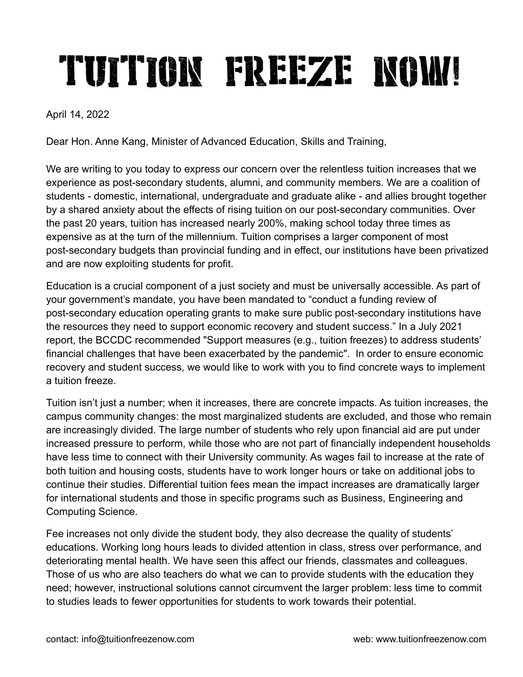## TUITION FREEZE NOM!

April 14, 2022

Dear Hon. Anne Kang, Minister of Advanced Education, Skills and Training,

We are writing to you today to express our concern over the relentless tuition increases that we experience as post-secondary students, alumni, and community members. We are a coalition of students - domestic, international, undergraduate and graduate alike - and allies brought together by a shared anxiety about the effects of rising tuition on our post-secondary communities. Over the past 20 years, tuition has increased nearly 200%, making school today three times as expensive as at the turn of the millennium. Tuition comprises a larger component of most post-secondary budgets than provincial funding and in effect, our institutions have been privatized and are now exploiting students for profit.

Education is a crucial component of a just society and must be universally accessible. As part of your government's mandate, you have been mandated to "conduct a funding review of post-secondary education operating grants to make sure public post-secondary institutions have the resources they need to support economic recovery and student success." In a July 2021 report, the BCCDC recommended "Support measures (e.g., tuition freezes) to address students' financial challenges that have been exacerbated by the pandemic". In order to ensure economic recovery and student success, we would like to work with you to find concrete ways to implement a tuition freeze.

Tuition isn't just a number; when it increases, there are concrete impacts. As tuition increases, the campus community changes: the most marginalized students are excluded, and those who remain are increasingly divided. The large number of students who rely upon financial aid are put under increased pressure to perform, while those who are not part of financially independent households have less time to connect with their University community. As wages fail to increase at the rate of both tuition and housing costs, students have to work longer hours or take on additional jobs to continue their studies. Differential tuition fees mean the impact increases are dramatically larger for international students and those in specific programs such as Business, Engineering and Computing Science.

Fee increases not only divide the student body, they also decrease the quality of students' educations. Working long hours leads to divided attention in class, stress over performance, and deteriorating mental health. We have seen this affect our friends, classmates and colleagues. Those of us who are also teachers do what we can to provide students with the education they need; however, instructional solutions cannot circumvent the larger problem: less time to commit to studies leads to fewer opportunities for students to work towards their potential.